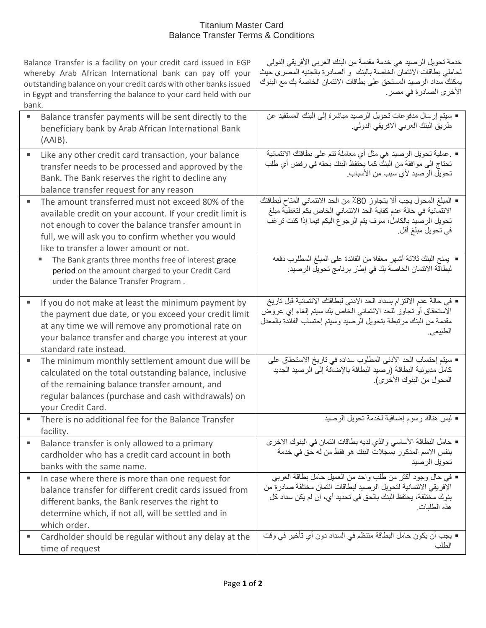## Titanium Master Card Balance Transfer Terms & Conditions

Balance Transfer is a facility on your credit card issued in EGP whereby Arab African International bank can pay off your outstanding balance on your credit cards with other banks issued in Egypt and transferring the balance to your card held with our bank.

خدمة تحويل الرصيد هي خدمة مقدمة من البنك العربي األفريقي الدولي لحاملي بطاقات الائتمان الخاصة بالبنك و الصادرة بالجنيه المصرى حيث يمكنك سداد الرصيد المستحق على بطاقات االئتمان الخاصة بك مع البنوك الأخرى الصادرة في مصر.

|   | Balance transfer payments will be sent directly to the                                      | ■ سيتم إرسال مدفوعات تحويل الرصيد مباشرة إلى البنك المستفيد عن                                                                  |
|---|---------------------------------------------------------------------------------------------|---------------------------------------------------------------------------------------------------------------------------------|
|   | beneficiary bank by Arab African International Bank                                         | طريق البنك العربي الافريقي الدولي.                                                                                              |
|   | (AAIB).                                                                                     |                                                                                                                                 |
| ٠ | Like any other credit card transaction, your balance                                        | ▪ عملية تحويل الرصيد هي مثل أي معاملة تتم على بطاقتك الائتمانية<br>تحتاج الى موافقة من البنك كما يحتفظ البنك بحقه في رفض أي طلب |
|   | transfer needs to be processed and approved by the                                          | تحويل الرصيد لأي سبب من الأسباب.                                                                                                |
|   | Bank. The Bank reserves the right to decline any<br>balance transfer request for any reason |                                                                                                                                 |
|   | The amount transferred must not exceed 80% of the                                           | ■ المبلغ المحول يجب ألا يتجاوز 80٪ من الحد الائتماني المتاح لبطاقتك                                                             |
|   | available credit on your account. If your credit limit is                                   | الائتمانية في حالة عدم كفاية الحد الائتماني الخاص بكم لتغطية مبلغ                                                               |
|   | not enough to cover the balance transfer amount in                                          | تحويل الرصيد بالكامل، سوف يتم الرجوع اليكم فيما إذا كنت ترغب                                                                    |
|   | full, we will ask you to confirm whether you would                                          | في تحويل مبلغ أقل.                                                                                                              |
|   | like to transfer a lower amount or not.                                                     |                                                                                                                                 |
|   | The Bank grants three months free of interest grace<br>ш                                    | ■ يمنح البنك ثلاثة أشهر معفاة من الفائدة على المبلغ المطلوب دفعه                                                                |
|   | period on the amount charged to your Credit Card                                            | لبطاقة الائتمان الخاصة بك في إطار برنامج تحويل الرصيد.                                                                          |
|   | under the Balance Transfer Program.                                                         |                                                                                                                                 |
| ٠ | If you do not make at least the minimum payment by                                          | ■ في حالة عدم الالتزام بسداد الحد الادني لبطاقتك الائتمانية قبل تاريخ                                                           |
|   | the payment due date, or you exceed your credit limit                                       | الاستحقاق أو تجاوز للحد الائتماني الخاص بك سيتم إلغاء إي عروض                                                                   |
|   | at any time we will remove any promotional rate on                                          | مقدمة من البنك مرتبطة بتحويل الرصيد وسيتم إحتساب الفائدة بالمعدل                                                                |
|   | your balance transfer and charge you interest at your                                       | الطبيعي.                                                                                                                        |
|   | standard rate instead.                                                                      |                                                                                                                                 |
| ٠ | The minimum monthly settlement amount due will be                                           | ■ سبِنَم إحتساب الحد الأدنى المطلوب سداده في تاريخ الاستحقاق على                                                                |
|   | calculated on the total outstanding balance, inclusive                                      | كامل مديونية البطاقة (رصيد البطاقة بالإضافة إلى الرصيد الجديد<br>المحول من البنوك الأخرى).                                      |
|   | of the remaining balance transfer amount, and                                               |                                                                                                                                 |
|   | regular balances (purchase and cash withdrawals) on                                         |                                                                                                                                 |
| ٠ | your Credit Card.<br>There is no additional fee for the Balance Transfer                    | ■ ليس هناك رسوم إضافية لخدمة تحويل الرصيد                                                                                       |
|   | facility.                                                                                   |                                                                                                                                 |
| ٠ | Balance transfer is only allowed to a primary                                               | ■ حامل البطاقة الأساسي والذي لديه بطاقات ائتمان في البنوك الاخرى                                                                |
|   | cardholder who has a credit card account in both                                            | بنفس الاسم المذكور بسجلات البنك هو فقط من له حق في خدمة                                                                         |
|   | banks with the same name.                                                                   | تحويل الرصيد                                                                                                                    |
| ٠ | In case where there is more than one request for                                            | ▪ في حال وجود أكثر من طلب واحد من العميل حامل بطاقة العربي                                                                      |
|   | balance transfer for different credit cards issued from                                     | الإفريقي الائتمانية لتحويل الرصيد لبطاقات ائتمان مختلفة صادر ة من                                                               |
|   | different banks, the Bank reserves the right to                                             | بنوك مختلفة، يحتفظ البنك بالحق في تحديد أي، إن لم يكن سداد كل<br>هذه الطلبات                                                    |
|   | determine which, if not all, will be settled and in                                         |                                                                                                                                 |
|   | which order.                                                                                |                                                                                                                                 |
| ٠ | Cardholder should be regular without any delay at the                                       | ■ يجب أن يكون حامل البطاقة منتظم في السداد دون أي تأخير  في وقت<br>الطلب                                                        |
|   | time of request                                                                             |                                                                                                                                 |